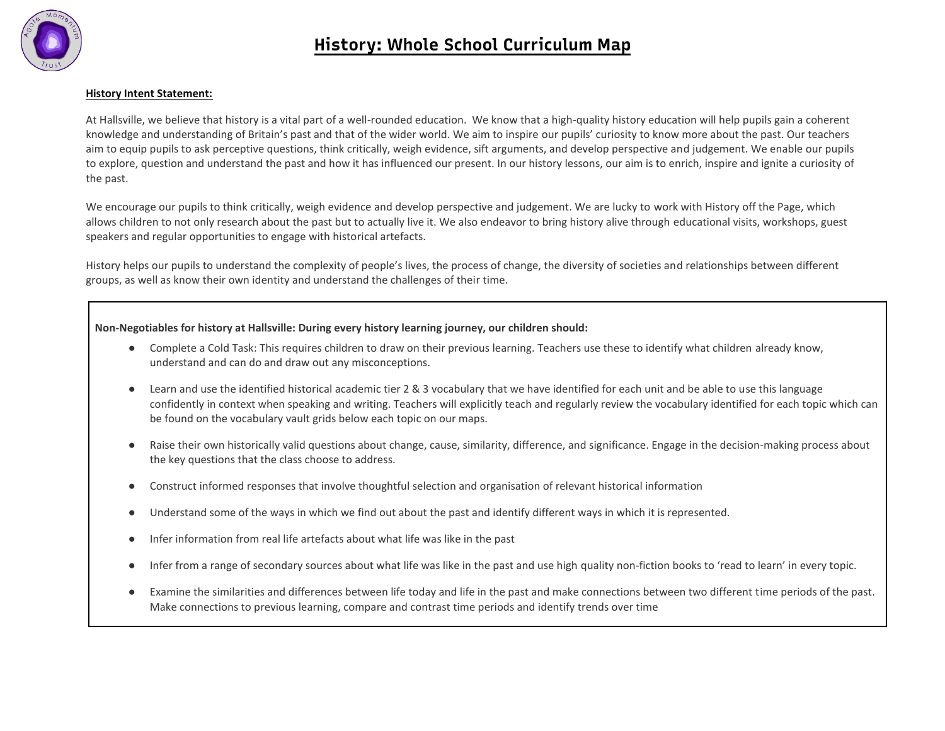

## **History Intent Statement:**

At Hallsville, we believe that history is a vital part of a well-rounded education. We know that a high-quality history education will help pupils gain a coherent knowledge and understanding of Britain's past and that of the wider world. We aim to inspire our pupils' curiosity to know more about the past. Our teachers aim to equip pupils to ask perceptive questions, think critically, weigh evidence, sift arguments, and develop perspective and judgement. We enable our pupils to explore, question and understand the past and how it has influenced our present. In our history lessons, our aim is to enrich, inspire and ignite a curiosity of the past.

We encourage our pupils to think critically, weigh evidence and develop perspective and judgement. We are lucky to work with History off the Page, which allows children to not only research about the past but to actually live it. We also endeavor to bring history alive through educational visits, workshops, guest speakers and regular opportunities to engage with historical artefacts.

History helps our pupils to understand the complexity of people's lives, the process of change, the diversity of societies and relationships between different groups, as well as know their own identity and understand the challenges of their time.

## **Non-Negotiables for history at Hallsville: During every history learning journey, our children should:**

- Complete a Cold Task: This requires children to draw on their previous learning. Teachers use these to identify what children already know, understand and can do and draw out any misconceptions.
- Learn and use the identified historical academic tier 2 & 3 vocabulary that we have identified for each unit and be able to use this language confidently in context when speaking and writing. Teachers will explicitly teach and regularly review the vocabulary identified for each topic which can be found on the vocabulary vault grids below each topic on our maps.
- Raise their own historically valid questions about change, cause, similarity, difference, and significance. Engage in the decision-making process about the key questions that the class choose to address.
- Construct informed responses that involve thoughtful selection and organisation of relevant historical information
- Understand some of the ways in which we find out about the past and identify different ways in which it is represented.
- Infer information from real life artefacts about what life was like in the past
- Infer from a range of secondary sources about what life was like in the past and use high quality non-fiction books to 'read to learn' in every topic.
- Examine the similarities and differences between life today and life in the past and make connections between two different time periods of the past. Make connections to previous learning, compare and contrast time periods and identify trends over time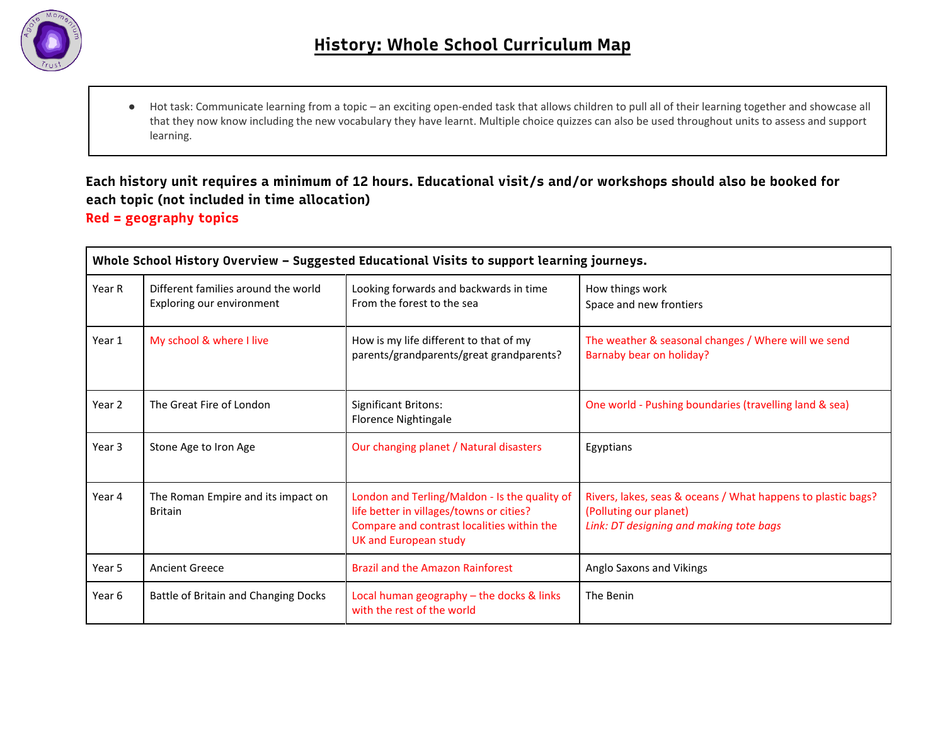

● Hot task: Communicate learning from a topic – an exciting open-ended task that allows children to pull all of their learning together and showcase all that they now know including the new vocabulary they have learnt. Multiple choice quizzes can also be used throughout units to assess and support learning.

## **Each history unit requires a minimum of 12 hours. Educational visit/s and/or workshops should also be booked for each topic (not included in time allocation) Red = geography topics**

|        | Whole School History Overview - Suggested Educational Visits to support learning journeys. |                                                                                                                                                                  |                                                                                                                                   |  |  |
|--------|--------------------------------------------------------------------------------------------|------------------------------------------------------------------------------------------------------------------------------------------------------------------|-----------------------------------------------------------------------------------------------------------------------------------|--|--|
| Year R | Different families around the world<br>Exploring our environment                           | Looking forwards and backwards in time<br>From the forest to the sea                                                                                             | How things work<br>Space and new frontiers                                                                                        |  |  |
| Year 1 | My school & where I live                                                                   | How is my life different to that of my<br>parents/grandparents/great grandparents?                                                                               | The weather & seasonal changes / Where will we send<br>Barnaby bear on holiday?                                                   |  |  |
| Year 2 | The Great Fire of London                                                                   | <b>Significant Britons:</b><br>Florence Nightingale                                                                                                              | One world - Pushing boundaries (travelling land & sea)                                                                            |  |  |
| Year 3 | Stone Age to Iron Age                                                                      | Our changing planet / Natural disasters                                                                                                                          | Egyptians                                                                                                                         |  |  |
| Year 4 | The Roman Empire and its impact on<br><b>Britain</b>                                       | London and Terling/Maldon - Is the quality of<br>life better in villages/towns or cities?<br>Compare and contrast localities within the<br>UK and European study | Rivers, lakes, seas & oceans / What happens to plastic bags?<br>(Polluting our planet)<br>Link: DT designing and making tote bags |  |  |
| Year 5 | <b>Ancient Greece</b>                                                                      | <b>Brazil and the Amazon Rainforest</b>                                                                                                                          | Anglo Saxons and Vikings                                                                                                          |  |  |
| Year 6 | Battle of Britain and Changing Docks                                                       | Local human geography - the docks & links<br>with the rest of the world                                                                                          | The Benin                                                                                                                         |  |  |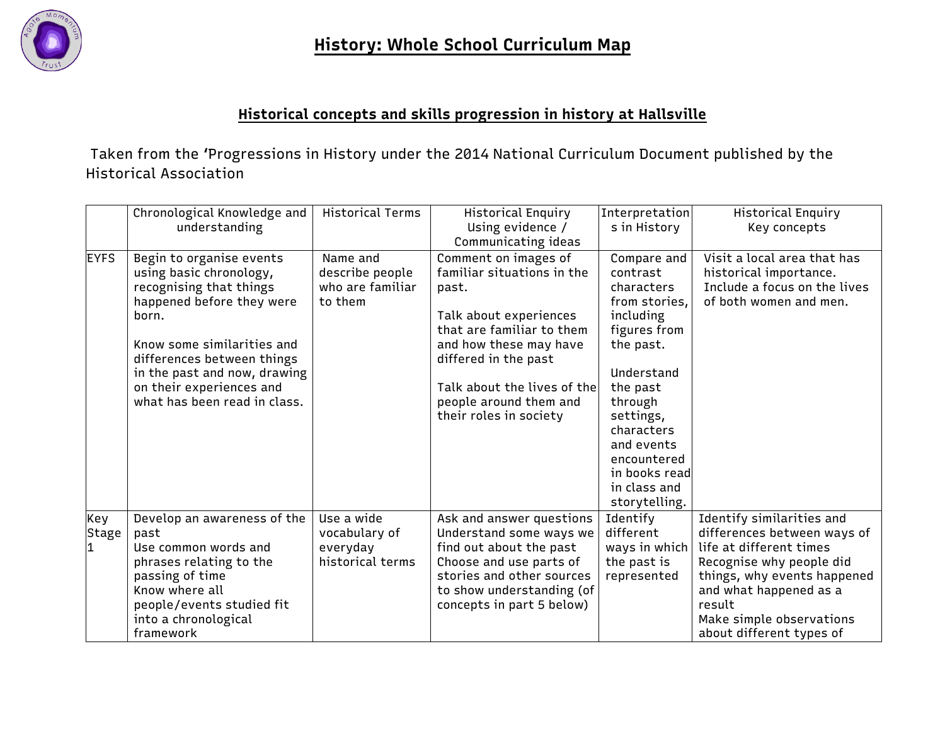

## **Historical concepts and skills progression in history at Hallsville**

Taken from the 'Progressions in History under the 2014 National Curriculum Document published by the Historical Association

|              | Chronological Knowledge and<br>understanding                                                                                                                                                                                                                                 | Historical Terms                                            | Historical Enquiry<br>Using evidence /<br>Communicating ideas                                                                                                                                                                                           | Interpretation<br>s in History                                                                                                                                                                                                                  | Historical Enquiry<br>Key concepts                                                                                                                                                                                                         |
|--------------|------------------------------------------------------------------------------------------------------------------------------------------------------------------------------------------------------------------------------------------------------------------------------|-------------------------------------------------------------|---------------------------------------------------------------------------------------------------------------------------------------------------------------------------------------------------------------------------------------------------------|-------------------------------------------------------------------------------------------------------------------------------------------------------------------------------------------------------------------------------------------------|--------------------------------------------------------------------------------------------------------------------------------------------------------------------------------------------------------------------------------------------|
| <b>EYFS</b>  | Begin to organise events<br>using basic chronology,<br>recognising that things<br>happened before they were<br>born.<br>Know some similarities and<br>differences between things<br>in the past and now, drawing<br>on their experiences and<br>what has been read in class. | Name and<br>describe people<br>who are familiar<br>to them  | Comment on images of<br>familiar situations in the<br>past.<br>Talk about experiences<br>that are familiar to them<br>and how these may have<br>differed in the past<br>Talk about the lives of the<br>people around them and<br>their roles in society | Compare and<br>contrast<br>characters<br>from stories,<br>including<br>figures from<br>the past.<br>Understand<br>the past<br>through<br>settings,<br>characters<br>and events<br>encountered<br>in books read<br>in class and<br>storytelling. | Visit a local area that has<br>historical importance.<br>Include a focus on the lives<br>of both women and men.                                                                                                                            |
| Key<br>Stage | Develop an awareness of the<br>past<br>Use common words and<br>phrases relating to the<br>passing of time<br>Know where all<br>people/events studied fit<br>into a chronological<br>framework                                                                                | Use a wide<br>vocabulary of<br>everyday<br>historical terms | Ask and answer questions<br>Understand some ways we<br>find out about the past<br>Choose and use parts of<br>stories and other sources<br>to show understanding (of<br>concepts in part 5 below)                                                        | Identify<br>different<br>ways in which<br>the past is<br>represented                                                                                                                                                                            | Identify similarities and<br>differences between ways of<br>life at different times<br>Recognise why people did<br>things, why events happened<br>and what happened as a<br>result<br>Make simple observations<br>about different types of |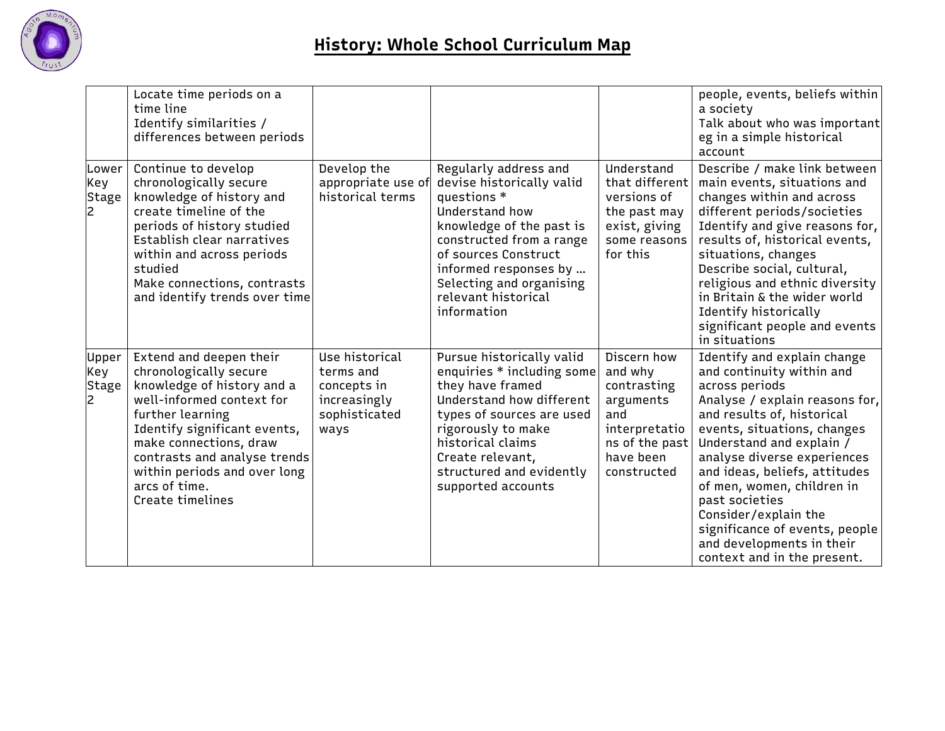

|                       | Locate time periods on a<br>time line<br>Identify similarities /<br>differences between periods                                                                                                                                                                                                 |                                                                                     |                                                                                                                                                                                                                                                                |                                                                                                                          | people, events, beliefs within<br>a society<br>Talk about who was important<br>eg in a simple historical<br>account                                                                                                                                                                                                                                                                                                                         |
|-----------------------|-------------------------------------------------------------------------------------------------------------------------------------------------------------------------------------------------------------------------------------------------------------------------------------------------|-------------------------------------------------------------------------------------|----------------------------------------------------------------------------------------------------------------------------------------------------------------------------------------------------------------------------------------------------------------|--------------------------------------------------------------------------------------------------------------------------|---------------------------------------------------------------------------------------------------------------------------------------------------------------------------------------------------------------------------------------------------------------------------------------------------------------------------------------------------------------------------------------------------------------------------------------------|
| Lower<br>Key<br>Stage | Continue to develop<br>chronologically secure<br>knowledge of history and<br>create timeline of the<br>periods of history studied<br>Establish clear narratives<br>within and across periods<br>studied<br>Make connections, contrasts<br>and identify trends over time                         | Develop the<br>appropriate use of<br>historical terms                               | Regularly address and<br>devise historically valid<br>questions *<br>Understand how<br>knowledge of the past is<br>constructed from a range<br>of sources Construct<br>informed responses by<br>Selecting and organising<br>relevant historical<br>information | Understand<br>that different<br>versions of<br>the past may<br>exist, giving<br>some reasons<br>for this                 | Describe / make link between<br>main events, situations and<br>changes within and across<br>different periods/societies<br>Identify and give reasons for,<br>results of, historical events,<br>situations, changes<br>Describe social, cultural,<br>religious and ethnic diversity<br>in Britain & the wider world<br>Identify historically<br>significant people and events<br>in situations                                               |
| Upper<br>Key<br>Stage | Extend and deepen their<br>chronologically secure<br>knowledge of history and a<br>well-informed context for<br>further learning<br>Identify significant events,<br>make connections, draw<br>contrasts and analyse trends<br>within periods and over long<br>arcs of time.<br>Create timelines | Use historical<br>terms and<br>concepts in<br>increasingly<br>sophisticated<br>ways | Pursue historically valid<br>enquiries * including some<br>they have framed<br>Understand how different<br>types of sources are used<br>rigorously to make<br>historical claims<br>Create relevant,<br>structured and evidently<br>supported accounts          | Discern how<br>and why<br>contrasting<br>arguments<br>and<br>interpretatio<br>ns of the past<br>have been<br>constructed | Identify and explain change<br>and continuity within and<br>across periods<br>Analyse / explain reasons for,<br>and results of, historical<br>events, situations, changes<br>Understand and explain /<br>analyse diverse experiences<br>and ideas, beliefs, attitudes<br>of men, women, children in<br>past societies<br>Consider/explain the<br>significance of events, people<br>and developments in their<br>context and in the present. |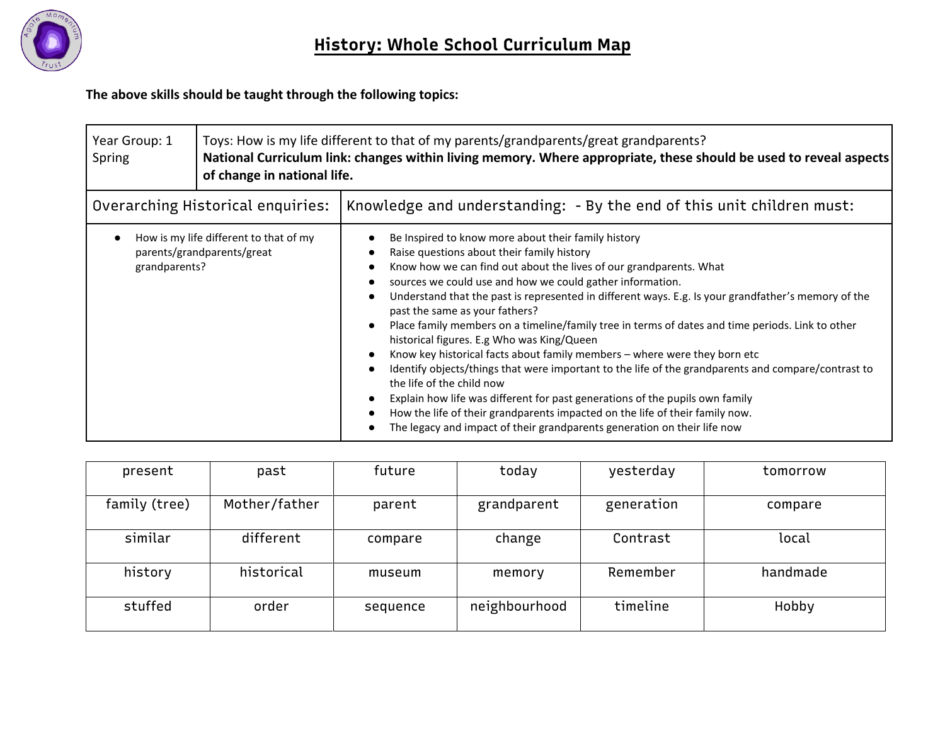

**The above skills should be taught through the following topics:**

| Year Group: 1<br>Spring           | of change in national life.                                          | Toys: How is my life different to that of my parents/grandparents/great grandparents?<br>National Curriculum link: changes within living memory. Where appropriate, these should be used to reveal aspects                                                                                                                                                                                                                                                                                                                                                                                                                                                                                                                                                                                                                                                                                                                                                                                   |  |  |  |
|-----------------------------------|----------------------------------------------------------------------|----------------------------------------------------------------------------------------------------------------------------------------------------------------------------------------------------------------------------------------------------------------------------------------------------------------------------------------------------------------------------------------------------------------------------------------------------------------------------------------------------------------------------------------------------------------------------------------------------------------------------------------------------------------------------------------------------------------------------------------------------------------------------------------------------------------------------------------------------------------------------------------------------------------------------------------------------------------------------------------------|--|--|--|
| Overarching Historical enquiries: |                                                                      | Knowledge and understanding: - By the end of this unit children must:                                                                                                                                                                                                                                                                                                                                                                                                                                                                                                                                                                                                                                                                                                                                                                                                                                                                                                                        |  |  |  |
| grandparents?                     | How is my life different to that of my<br>parents/grandparents/great | Be Inspired to know more about their family history<br>Raise questions about their family history<br>Know how we can find out about the lives of our grandparents. What<br>sources we could use and how we could gather information.<br>Understand that the past is represented in different ways. E.g. Is your grandfather's memory of the<br>past the same as your fathers?<br>Place family members on a timeline/family tree in terms of dates and time periods. Link to other<br>historical figures. E.g Who was King/Queen<br>Know key historical facts about family members – where were they born etc<br>Identify objects/things that were important to the life of the grandparents and compare/contrast to<br>the life of the child now<br>Explain how life was different for past generations of the pupils own family<br>How the life of their grandparents impacted on the life of their family now.<br>The legacy and impact of their grandparents generation on their life now |  |  |  |

| present       | past          | future   | today         | yesterday  | tomorrow |
|---------------|---------------|----------|---------------|------------|----------|
| family (tree) | Mother/father | parent   | grandparent   | generation | compare  |
| similar       | different     | compare  | change        | Contrast   | local    |
| history       | historical    | museum   | memory        | Remember   | handmade |
| stuffed       | order         | sequence | neighbourhood | timeline   | Hobby    |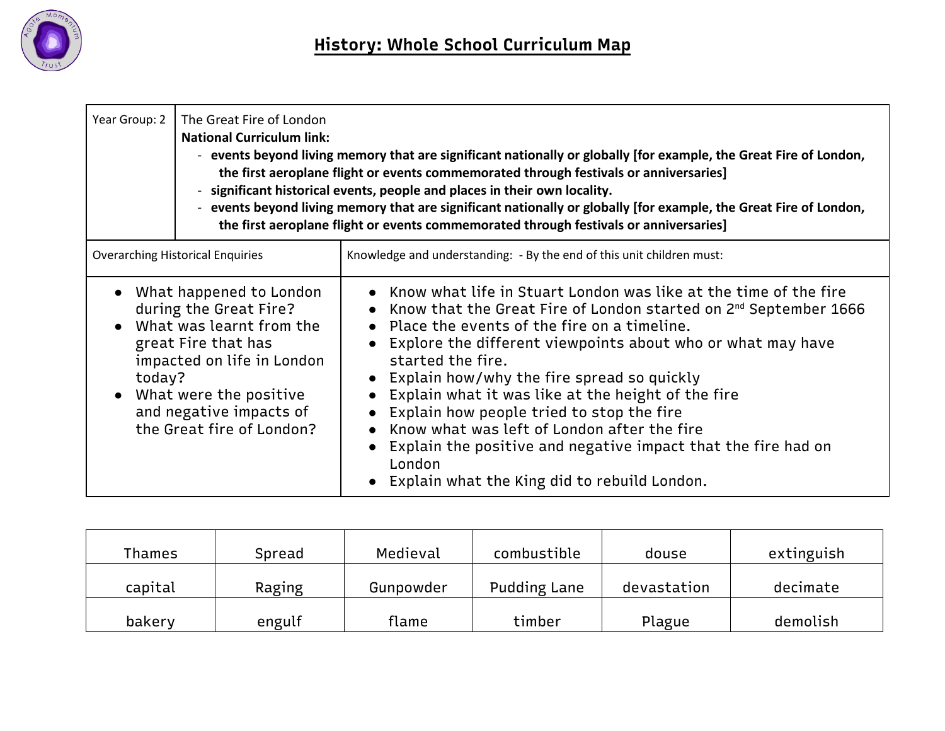

| Year Group: 2                           | The Great Fire of London<br><b>National Curriculum link:</b>                                                                                                                                                         | - events beyond living memory that are significant nationally or globally [for example, the Great Fire of London,<br>the first aeroplane flight or events commemorated through festivals or anniversaries]<br>significant historical events, people and places in their own locality.<br>- events beyond living memory that are significant nationally or globally [for example, the Great Fire of London,<br>the first aeroplane flight or events commemorated through festivals or anniversaries]                                                                                                                                            |  |  |  |  |  |
|-----------------------------------------|----------------------------------------------------------------------------------------------------------------------------------------------------------------------------------------------------------------------|------------------------------------------------------------------------------------------------------------------------------------------------------------------------------------------------------------------------------------------------------------------------------------------------------------------------------------------------------------------------------------------------------------------------------------------------------------------------------------------------------------------------------------------------------------------------------------------------------------------------------------------------|--|--|--|--|--|
| <b>Overarching Historical Enquiries</b> |                                                                                                                                                                                                                      | Knowledge and understanding: - By the end of this unit children must:                                                                                                                                                                                                                                                                                                                                                                                                                                                                                                                                                                          |  |  |  |  |  |
| today?                                  | What happened to London<br>during the Great Fire?<br>What was learnt from the<br>great Fire that has<br>impacted on life in London<br>What were the positive<br>and negative impacts of<br>the Great fire of London? | Know what life in Stuart London was like at the time of the fire<br>Know that the Great Fire of London started on $2^{nd}$ September 1666<br>$\bullet$<br>Place the events of the fire on a timeline.<br>Explore the different viewpoints about who or what may have<br>$\bullet$<br>started the fire.<br>Explain how/why the fire spread so quickly<br>Explain what it was like at the height of the fire<br>Explain how people tried to stop the fire<br>$\bullet$<br>Know what was left of London after the fire<br>Explain the positive and negative impact that the fire had on<br>London<br>Explain what the King did to rebuild London. |  |  |  |  |  |

| Thames  | Spread | Medieval  | combustible         | douse       | extinguish |
|---------|--------|-----------|---------------------|-------------|------------|
| capital | Raging | Gunpowder | <b>Pudding Lane</b> | devastation | decimate   |
| bakery  | engulf | flame     | timber              | Plague      | demolish   |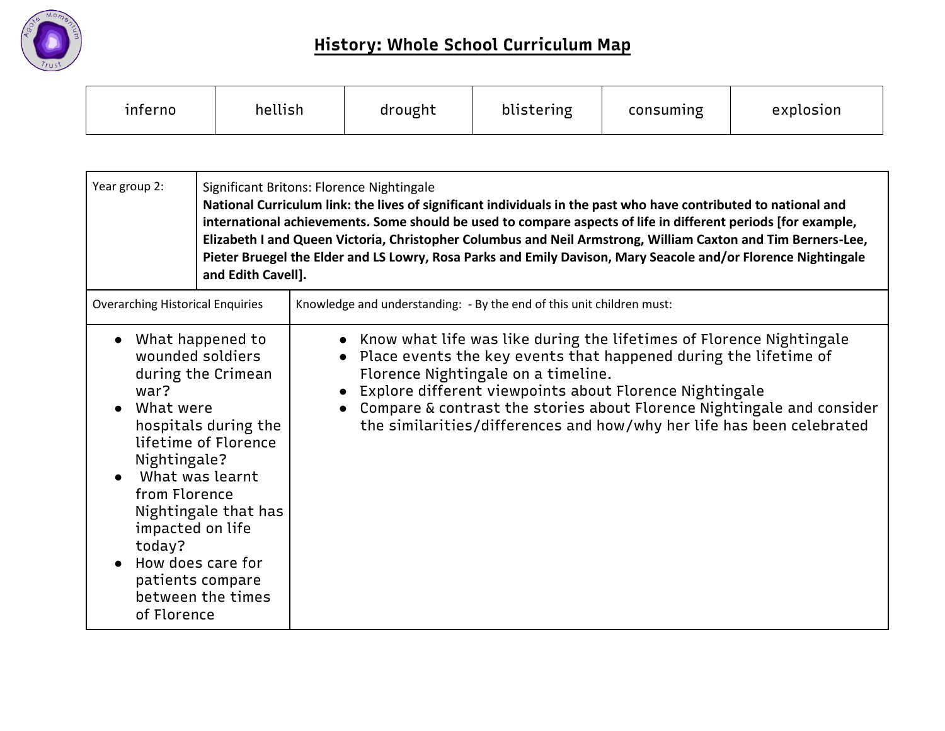

| inferno | hellish | drought | blistering | consuming | explosion |
|---------|---------|---------|------------|-----------|-----------|
|---------|---------|---------|------------|-----------|-----------|

| Year group 2:                                                                                                                                               | and Edith Cavell].                                                                                                                                                                             | Significant Britons: Florence Nightingale<br>National Curriculum link: the lives of significant individuals in the past who have contributed to national and<br>international achievements. Some should be used to compare aspects of life in different periods [for example,<br>Elizabeth I and Queen Victoria, Christopher Columbus and Neil Armstrong, William Caxton and Tim Berners-Lee,<br>Pieter Bruegel the Elder and LS Lowry, Rosa Parks and Emily Davison, Mary Seacole and/or Florence Nightingale |  |  |
|-------------------------------------------------------------------------------------------------------------------------------------------------------------|------------------------------------------------------------------------------------------------------------------------------------------------------------------------------------------------|----------------------------------------------------------------------------------------------------------------------------------------------------------------------------------------------------------------------------------------------------------------------------------------------------------------------------------------------------------------------------------------------------------------------------------------------------------------------------------------------------------------|--|--|
| <b>Overarching Historical Enquiries</b>                                                                                                                     |                                                                                                                                                                                                | Knowledge and understanding: - By the end of this unit children must:                                                                                                                                                                                                                                                                                                                                                                                                                                          |  |  |
| $\bullet$<br>war?<br>What were<br>$\bullet$<br>Nightingale?<br>$\bullet$<br>from Florence<br>impacted on life<br>today?<br>How does care for<br>of Florence | What happened to<br>wounded soldiers<br>during the Crimean<br>hospitals during the<br>lifetime of Florence<br>What was learnt<br>Nightingale that has<br>patients compare<br>between the times | Know what life was like during the lifetimes of Florence Nightingale<br>Place events the key events that happened during the lifetime of<br>$\bullet$<br>Florence Nightingale on a timeline.<br>Explore different viewpoints about Florence Nightingale<br>$\bullet$<br>Compare & contrast the stories about Florence Nightingale and consider<br>$\bullet$<br>the similarities/differences and how/why her life has been celebrated                                                                           |  |  |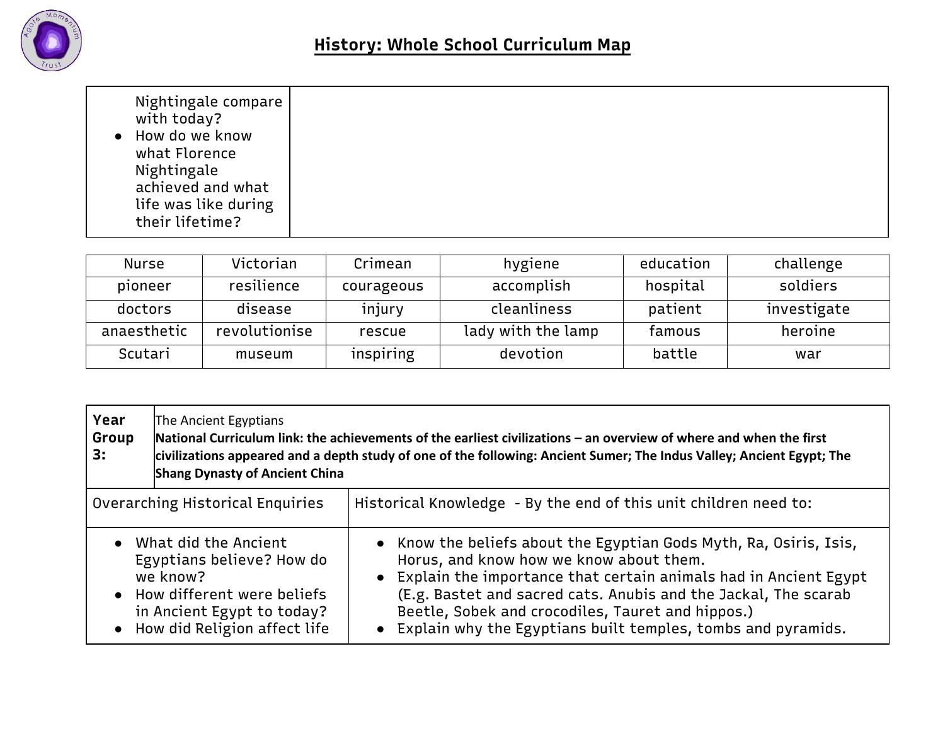

|--|

| Nurse       | Victorian     | Crimean    | hygiene            | education | challenge   |
|-------------|---------------|------------|--------------------|-----------|-------------|
| pioneer     | resilience    | courageous | accomplish         | hospital  | soldiers    |
| doctors     | disease       | injury     | cleanliness        | patient   | investigate |
| anaesthetic | revolutionise | rescue     | lady with the lamp | famous    | heroine     |
| Scutari     | museum        | inspiring  | devotion           | battle    | war         |

| Year<br>Group<br>3:                                                                                                                                             | The Ancient Egyptians<br><b>Shang Dynasty of Ancient China</b> | National Curriculum link: the achievements of the earliest civilizations – an overview of where and when the first<br>civilizations appeared and a depth study of one of the following: Ancient Sumer; The Indus Valley; Ancient Egypt; The                                                                                                                                   |
|-----------------------------------------------------------------------------------------------------------------------------------------------------------------|----------------------------------------------------------------|-------------------------------------------------------------------------------------------------------------------------------------------------------------------------------------------------------------------------------------------------------------------------------------------------------------------------------------------------------------------------------|
| Overarching Historical Enquiries                                                                                                                                |                                                                | Historical Knowledge - By the end of this unit children need to:                                                                                                                                                                                                                                                                                                              |
| • What did the Ancient<br>Egyptians believe? How do<br>we know?<br>• How different were beliefs<br>in Ancient Egypt to today?<br>• How did Religion affect life |                                                                | • Know the beliefs about the Egyptian Gods Myth, Ra, Osiris, Isis,<br>Horus, and know how we know about them.<br>• Explain the importance that certain animals had in Ancient Egypt<br>(E.g. Bastet and sacred cats. Anubis and the Jackal, The scarab<br>Beetle, Sobek and crocodiles, Tauret and hippos.)<br>• Explain why the Egyptians built temples, tombs and pyramids. |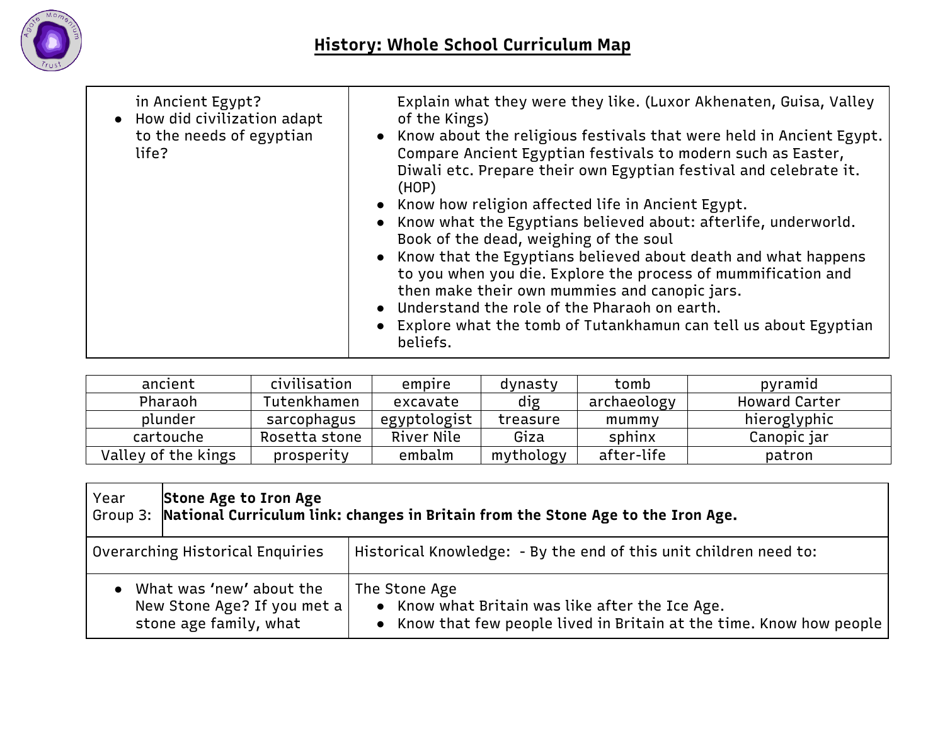

| in Ancient Egypt?<br>• How did civilization adapt<br>to the needs of egyptian<br>life? | Explain what they were they like. (Luxor Akhenaten, Guisa, Valley<br>of the Kings)<br>• Know about the religious festivals that were held in Ancient Egypt.<br>Compare Ancient Egyptian festivals to modern such as Easter,<br>Diwali etc. Prepare their own Egyptian festival and celebrate it.<br>(HOP)<br>• Know how religion affected life in Ancient Egypt.<br>• Know what the Egyptians believed about: afterlife, underworld.<br>Book of the dead, weighing of the soul<br>• Know that the Egyptians believed about death and what happens<br>to you when you die. Explore the process of mummification and<br>then make their own mummies and canopic jars.<br>• Understand the role of the Pharaoh on earth.<br>• Explore what the tomb of Tutankhamun can tell us about Egyptian |
|----------------------------------------------------------------------------------------|--------------------------------------------------------------------------------------------------------------------------------------------------------------------------------------------------------------------------------------------------------------------------------------------------------------------------------------------------------------------------------------------------------------------------------------------------------------------------------------------------------------------------------------------------------------------------------------------------------------------------------------------------------------------------------------------------------------------------------------------------------------------------------------------|
|                                                                                        | beliefs.                                                                                                                                                                                                                                                                                                                                                                                                                                                                                                                                                                                                                                                                                                                                                                                   |

| ancient             | civilisation  | empire       | dynasty   | tomb        | pyramid              |
|---------------------|---------------|--------------|-----------|-------------|----------------------|
| Pharaoh             | Tutenkhamen   | excavate     | dig       | archaeology | <b>Howard Carter</b> |
| plunder             | sarcophagus   | egyptologist | treasure  | mummy       | hieroglyphic         |
| cartouche           | Rosetta stone | River Nile   | Giza      | sphinx      | Canopic jar          |
| Valley of the kings | prosperity    | embalm       | mythology | after-life  | patron               |

| Year                                                                              | Stone Age to Iron Age<br>$\mid$ Group 3: $\mid$ National Curriculum link: changes in Britain from the Stone Age to the Iron Age. |                                                                                                                                          |  |  |
|-----------------------------------------------------------------------------------|----------------------------------------------------------------------------------------------------------------------------------|------------------------------------------------------------------------------------------------------------------------------------------|--|--|
|                                                                                   | Overarching Historical Enquiries                                                                                                 | Historical Knowledge: - By the end of this unit children need to:                                                                        |  |  |
| What was 'new' about the<br>New Stone Age? If you met a<br>stone age family, what |                                                                                                                                  | The Stone Age<br>• Know what Britain was like after the Ice Age.<br>• Know that few people lived in Britain at the time. Know how people |  |  |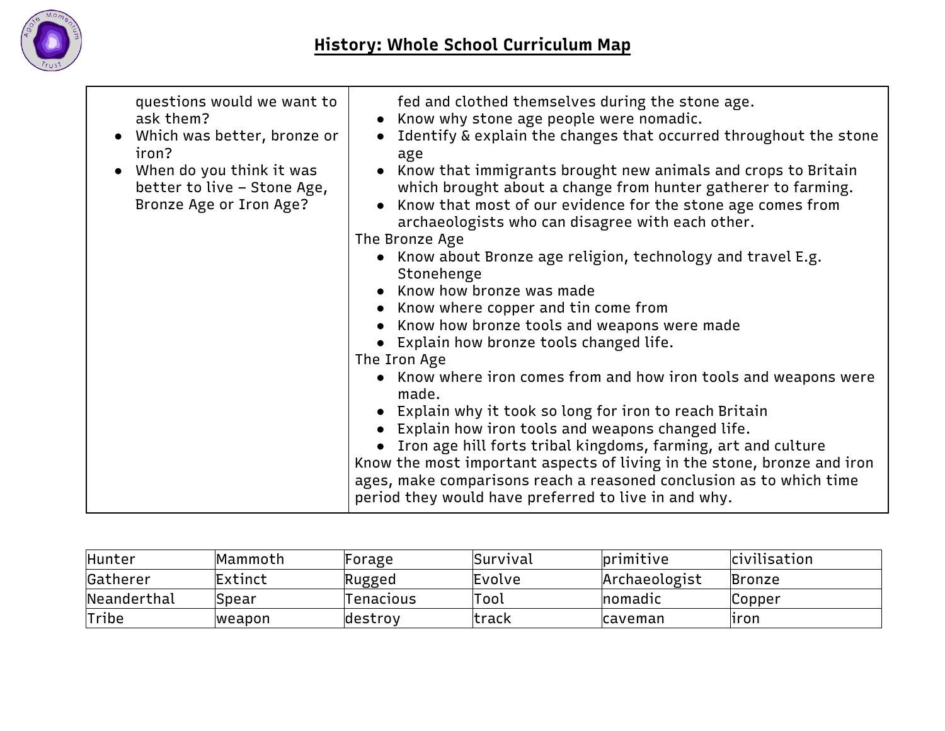

| questions would we want to<br>ask them?<br>• Which was better, bronze or<br>iron?<br>• When do you think it was<br>better to live - Stone Age,<br>Bronze Age or Iron Age? | fed and clothed themselves during the stone age.<br>• Know why stone age people were nomadic.<br>Identify & explain the changes that occurred throughout the stone<br>$\bullet$<br>age<br>• Know that immigrants brought new animals and crops to Britain<br>which brought about a change from hunter gatherer to farming.<br>• Know that most of our evidence for the stone age comes from<br>archaeologists who can disagree with each other.<br>The Bronze Age<br>• Know about Bronze age religion, technology and travel E.g.<br>Stonehenge<br>• Know how bronze was made<br>• Know where copper and tin come from<br>• Know how bronze tools and weapons were made<br>• Explain how bronze tools changed life.<br>The Iron Age<br>• Know where iron comes from and how iron tools and weapons were<br>made.<br>• Explain why it took so long for iron to reach Britain<br>• Explain how iron tools and weapons changed life.<br>• Iron age hill forts tribal kingdoms, farming, art and culture<br>Know the most important aspects of living in the stone, bronze and iron |
|---------------------------------------------------------------------------------------------------------------------------------------------------------------------------|---------------------------------------------------------------------------------------------------------------------------------------------------------------------------------------------------------------------------------------------------------------------------------------------------------------------------------------------------------------------------------------------------------------------------------------------------------------------------------------------------------------------------------------------------------------------------------------------------------------------------------------------------------------------------------------------------------------------------------------------------------------------------------------------------------------------------------------------------------------------------------------------------------------------------------------------------------------------------------------------------------------------------------------------------------------------------------|
|                                                                                                                                                                           | ages, make comparisons reach a reasoned conclusion as to which time<br>period they would have preferred to live in and why.                                                                                                                                                                                                                                                                                                                                                                                                                                                                                                                                                                                                                                                                                                                                                                                                                                                                                                                                                     |

| Hunter      | Mammoth        | Forage    | <i><b>Survival</b></i> | <b>primitive</b> | <b>civilisation</b> |
|-------------|----------------|-----------|------------------------|------------------|---------------------|
| Gatherer    | Extinct        | Rugged    | Evolve                 | Archaeologist    | Bronze              |
| Neanderthal | Spear          | Tenacıous | Tool                   | nomadic          | Copper              |
| Tribe       | <b>Iweapon</b> | destroy   | ltrack                 | Icaveman         | liron               |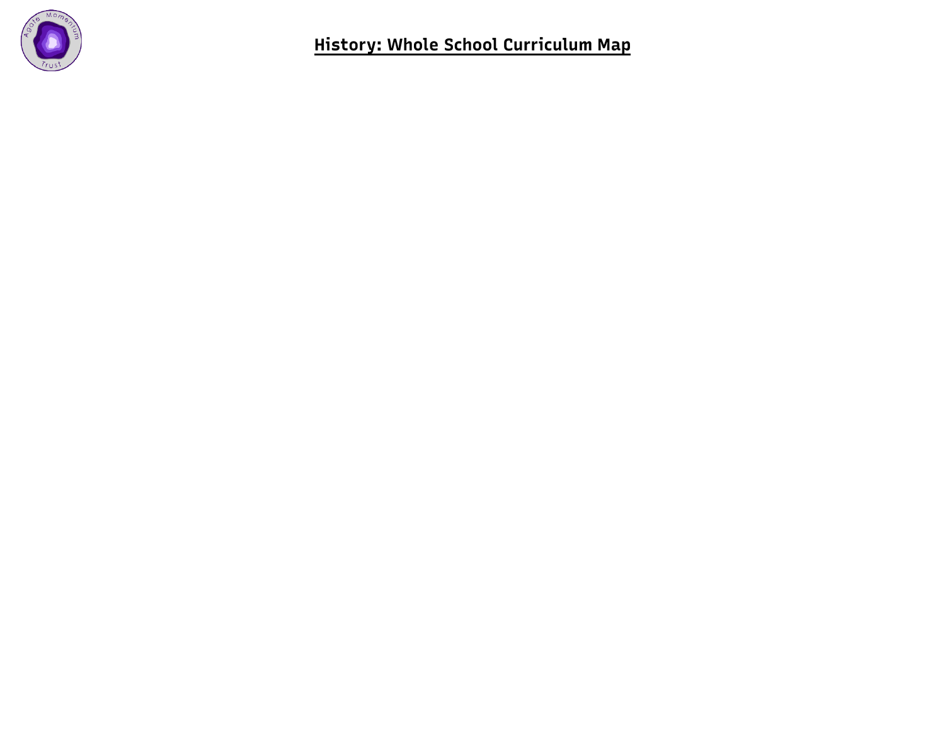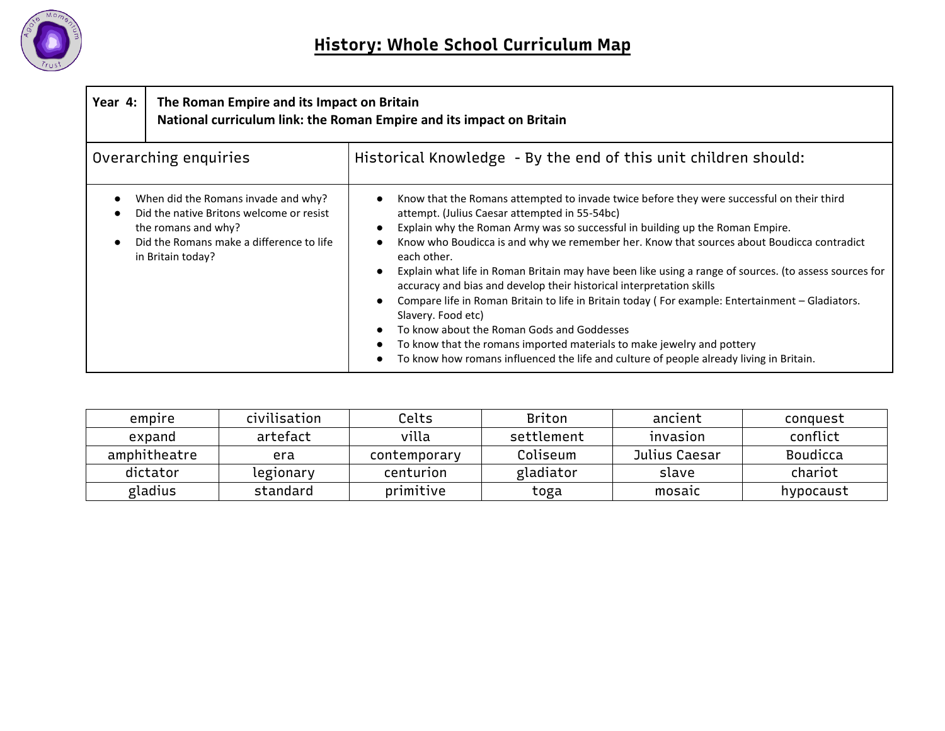

| Year 4: | The Roman Empire and its Impact on Britain<br>National curriculum link: the Roman Empire and its impact on Britain                                                      |                                                                                                                                                                                                                                                                                                                                                                                                                                                                                                                                                                                                                                                                                                                                                                                                                                                                        |  |
|---------|-------------------------------------------------------------------------------------------------------------------------------------------------------------------------|------------------------------------------------------------------------------------------------------------------------------------------------------------------------------------------------------------------------------------------------------------------------------------------------------------------------------------------------------------------------------------------------------------------------------------------------------------------------------------------------------------------------------------------------------------------------------------------------------------------------------------------------------------------------------------------------------------------------------------------------------------------------------------------------------------------------------------------------------------------------|--|
|         | Overarching enquiries                                                                                                                                                   | Historical Knowledge - By the end of this unit children should:                                                                                                                                                                                                                                                                                                                                                                                                                                                                                                                                                                                                                                                                                                                                                                                                        |  |
|         | When did the Romans invade and why?<br>Did the native Britons welcome or resist<br>the romans and why?<br>Did the Romans make a difference to life<br>in Britain today? | Know that the Romans attempted to invade twice before they were successful on their third<br>attempt. (Julius Caesar attempted in 55-54bc)<br>Explain why the Roman Army was so successful in building up the Roman Empire.<br>Know who Boudicca is and why we remember her. Know that sources about Boudicca contradict<br>each other.<br>Explain what life in Roman Britain may have been like using a range of sources. (to assess sources for<br>accuracy and bias and develop their historical interpretation skills<br>Compare life in Roman Britain to life in Britain today (For example: Entertainment - Gladiators.<br>Slavery. Food etc)<br>To know about the Roman Gods and Goddesses<br>To know that the romans imported materials to make jewelry and pottery<br>To know how romans influenced the life and culture of people already living in Britain. |  |

| empire       | civilisation | Celts        | <b>Briton</b> | ancient         | conquest        |
|--------------|--------------|--------------|---------------|-----------------|-----------------|
| expand       | artefact     | villa        | settlement    | <b>INVASION</b> | conflict        |
| amphitheatre | era          | contemporary | Coliseum      | Julius Caesar   | <b>Boudicca</b> |
| dictator     | legionary    | centurion    | gladiator     | slave           | chariot         |
| gladius      | standard     | primitive    | toga          | mosaic          | hypocaust       |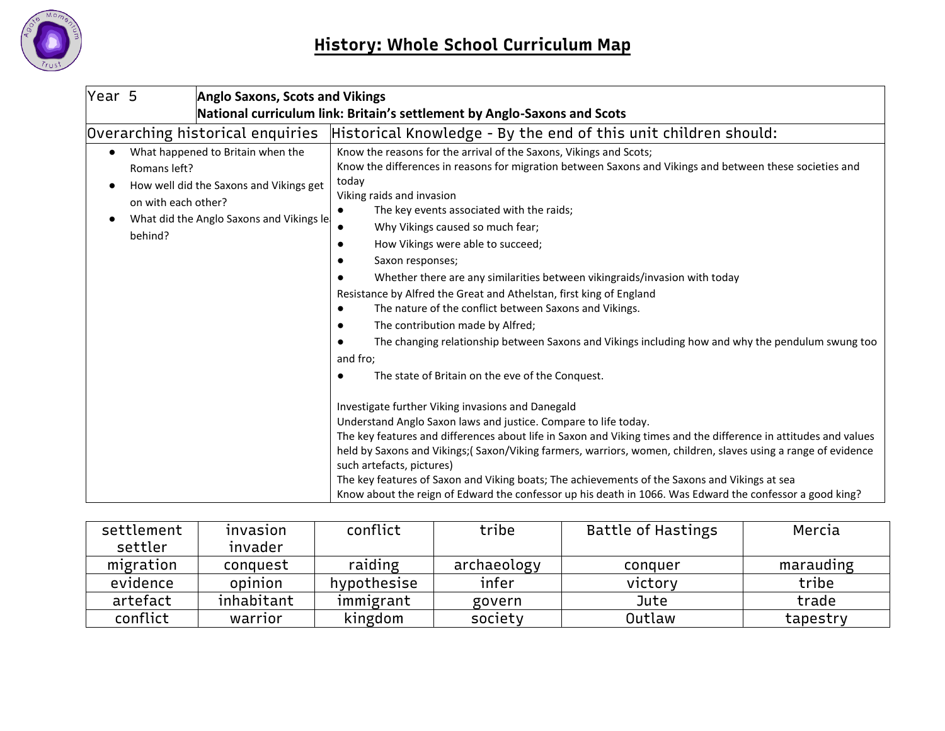

| Year 5                              |                                                                          | <b>Anglo Saxons, Scots and Vikings</b>                                                                                    |                                                                                                                                                                                                                                                                                                                                                                                                                                                                                                                                                                                                                                                                                                                                                                                                                  |  |  |
|-------------------------------------|--------------------------------------------------------------------------|---------------------------------------------------------------------------------------------------------------------------|------------------------------------------------------------------------------------------------------------------------------------------------------------------------------------------------------------------------------------------------------------------------------------------------------------------------------------------------------------------------------------------------------------------------------------------------------------------------------------------------------------------------------------------------------------------------------------------------------------------------------------------------------------------------------------------------------------------------------------------------------------------------------------------------------------------|--|--|
|                                     | National curriculum link: Britain's settlement by Anglo-Saxons and Scots |                                                                                                                           |                                                                                                                                                                                                                                                                                                                                                                                                                                                                                                                                                                                                                                                                                                                                                                                                                  |  |  |
|                                     |                                                                          | Overarching historical enquiries                                                                                          | Historical Knowledge - By the end of this unit children should:                                                                                                                                                                                                                                                                                                                                                                                                                                                                                                                                                                                                                                                                                                                                                  |  |  |
| $\bullet$<br>$\bullet$<br>$\bullet$ | Romans left?<br>on with each other?<br>behind?                           | What happened to Britain when the<br>How well did the Saxons and Vikings get<br>What did the Anglo Saxons and Vikings le- | Know the reasons for the arrival of the Saxons, Vikings and Scots;<br>Know the differences in reasons for migration between Saxons and Vikings and between these societies and<br>today<br>Viking raids and invasion<br>The key events associated with the raids;<br>$\bullet$<br>Why Vikings caused so much fear;<br>How Vikings were able to succeed;<br>$\bullet$<br>Saxon responses;<br>Whether there are any similarities between vikingraids/invasion with today<br>Resistance by Alfred the Great and Athelstan, first king of England<br>The nature of the conflict between Saxons and Vikings.<br>The contribution made by Alfred;<br>The changing relationship between Saxons and Vikings including how and why the pendulum swung too<br>and fro;<br>The state of Britain on the eve of the Conquest. |  |  |
|                                     |                                                                          |                                                                                                                           | Investigate further Viking invasions and Danegald<br>Understand Anglo Saxon laws and justice. Compare to life today.<br>The key features and differences about life in Saxon and Viking times and the difference in attitudes and values<br>held by Saxons and Vikings;(Saxon/Viking farmers, warriors, women, children, slaves using a range of evidence<br>such artefacts, pictures)<br>The key features of Saxon and Viking boats; The achievements of the Saxons and Vikings at sea<br>Know about the reign of Edward the confessor up his death in 1066. Was Edward the confessor a good king?                                                                                                                                                                                                              |  |  |

| settlement | invasion   | conflict    | tribe       | <b>Battle of Hastings</b> | Mercia    |
|------------|------------|-------------|-------------|---------------------------|-----------|
| settler    | invader    |             |             |                           |           |
| migration  | conquest   | raiding     | archaeology | conquer                   | marauding |
| evidence   | opinion    | hypothesise | infer       | victory                   | tribe     |
| artefact   | inhabitant | immigrant   | govern      | Jute                      | trade     |
| conflict   | warrior    | kingdom     | society     | Outlaw                    | tapestry  |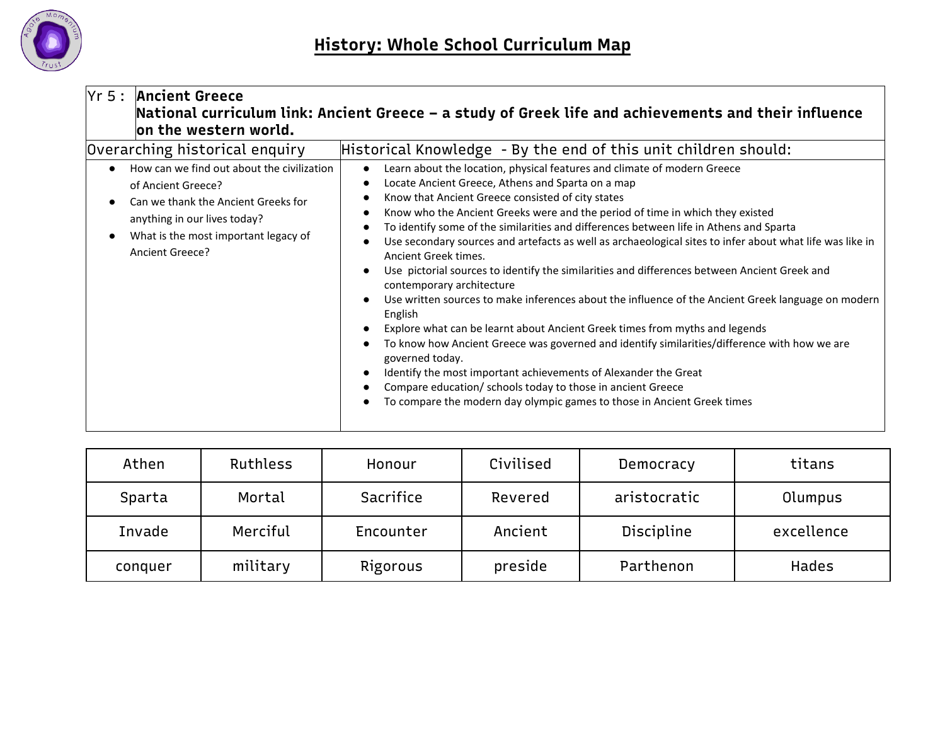

| Yr 5:                       | <b>Ancient Greece</b><br>on the western world.                                                                                                                                                                                       | National curriculum link: Ancient Greece – a study of Greek life and achievements and their influence                                                                                                                                                                                                                                                                                                                                                                                                                                                                                                                                                                                                                                                                                                                                                                                                                                                                                                                                                                                   |
|-----------------------------|--------------------------------------------------------------------------------------------------------------------------------------------------------------------------------------------------------------------------------------|-----------------------------------------------------------------------------------------------------------------------------------------------------------------------------------------------------------------------------------------------------------------------------------------------------------------------------------------------------------------------------------------------------------------------------------------------------------------------------------------------------------------------------------------------------------------------------------------------------------------------------------------------------------------------------------------------------------------------------------------------------------------------------------------------------------------------------------------------------------------------------------------------------------------------------------------------------------------------------------------------------------------------------------------------------------------------------------------|
| $\bullet$<br>$\bullet$<br>٠ | Overarching historical enquiry<br>How can we find out about the civilization<br>of Ancient Greece?<br>Can we thank the Ancient Greeks for<br>anything in our lives today?<br>What is the most important legacy of<br>Ancient Greece? | Historical Knowledge - By the end of this unit children should:<br>Learn about the location, physical features and climate of modern Greece<br>Locate Ancient Greece, Athens and Sparta on a map<br>Know that Ancient Greece consisted of city states<br>Know who the Ancient Greeks were and the period of time in which they existed<br>To identify some of the similarities and differences between life in Athens and Sparta<br>Use secondary sources and artefacts as well as archaeological sites to infer about what life was like in<br>Ancient Greek times.<br>Use pictorial sources to identify the similarities and differences between Ancient Greek and<br>contemporary architecture<br>Use written sources to make inferences about the influence of the Ancient Greek language on modern<br>English<br>Explore what can be learnt about Ancient Greek times from myths and legends<br>To know how Ancient Greece was governed and identify similarities/difference with how we are<br>governed today.<br>Identify the most important achievements of Alexander the Great |
|                             |                                                                                                                                                                                                                                      | Compare education/ schools today to those in ancient Greece<br>To compare the modern day olympic games to those in Ancient Greek times                                                                                                                                                                                                                                                                                                                                                                                                                                                                                                                                                                                                                                                                                                                                                                                                                                                                                                                                                  |

| Athen   | Ruthless | Honour    | Civilised | Democracy         | titans       |
|---------|----------|-----------|-----------|-------------------|--------------|
| Sparta  | Mortal   | Sacrifice | Revered   | aristocratic      | Olumpus      |
| Invade  | Merciful | Encounter | Ancient   | <b>Discipline</b> | excellence   |
| conquer | military | Rigorous  | preside   | Parthenon         | <b>Hades</b> |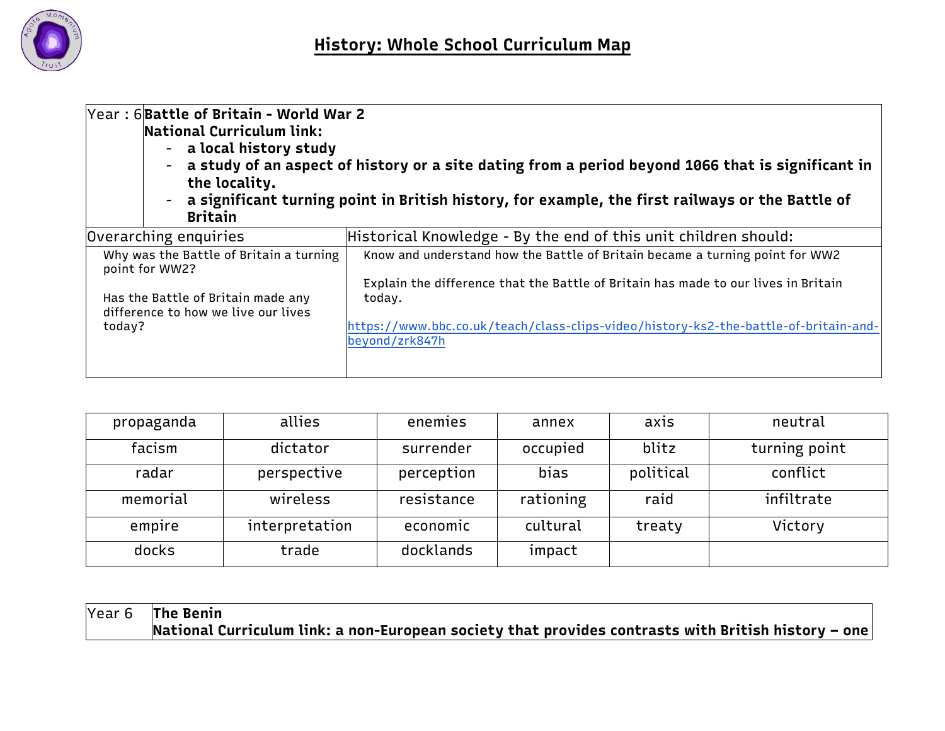

| Year: 6 Battle of Britain - World War 2<br>National Curriculum link:<br>- a local history study<br>the locality.<br><b>Britain</b>               | a study of an aspect of history or a site dating from a period beyond 1066 that is significant in<br>- a significant turning point in British history, for example, the first railways or the Battle of                                                                                |
|--------------------------------------------------------------------------------------------------------------------------------------------------|----------------------------------------------------------------------------------------------------------------------------------------------------------------------------------------------------------------------------------------------------------------------------------------|
| Overarching enquiries                                                                                                                            | Historical Knowledge - By the end of this unit children should:                                                                                                                                                                                                                        |
| Why was the Battle of Britain a turning<br>point for WW2?<br>Has the Battle of Britain made any<br>difference to how we live our lives<br>today? | Know and understand how the Battle of Britain became a turning point for WW2<br>Explain the difference that the Battle of Britain has made to our lives in Britain<br>today.<br>https://www.bbc.co.uk/teach/class-clips-video/history-ks2-the-battle-of-britain-and-<br>beyond/zrk847h |

| propaganda | allies         | enemies    | annex     | ax <sub>15</sub> | neutral       |
|------------|----------------|------------|-----------|------------------|---------------|
| facism     | dictator       | surrender  | occupied  | blitz            | turning point |
| radar      | perspective    | perception | bias      | political        | conflict      |
| memorial   | wireless       | resistance | rationing | raid             | infiltrate    |
| empire     | interpretation | economic   | cultural  | treaty           | Victory       |
| docks      | trade          | docklands  | impact    |                  |               |

Year 6 **The Benin National Curriculum link: a non-European society that provides contrasts with British history – one**